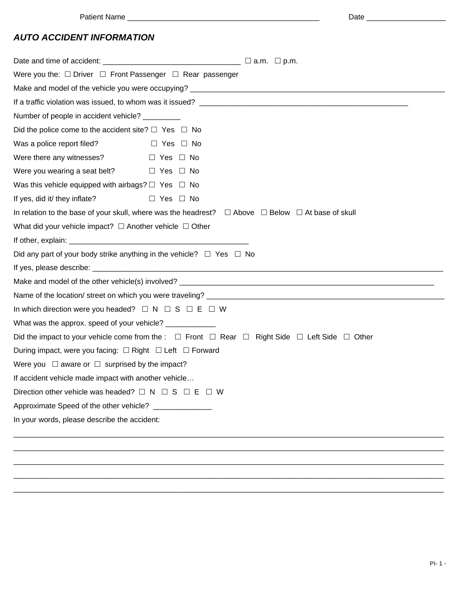| ۰.<br>. .<br>×<br>×<br>$\sim$<br>۰. |
|-------------------------------------|
|-------------------------------------|

## *AUTO ACCIDENT INFORMATION*

| Were you the: $\Box$ Driver $\Box$ Front Passenger $\Box$ Rear passenger                                                                                                                                                       |                                                                                                                           |  |  |  |
|--------------------------------------------------------------------------------------------------------------------------------------------------------------------------------------------------------------------------------|---------------------------------------------------------------------------------------------------------------------------|--|--|--|
|                                                                                                                                                                                                                                |                                                                                                                           |  |  |  |
|                                                                                                                                                                                                                                |                                                                                                                           |  |  |  |
| Number of people in accident vehicle? _________                                                                                                                                                                                |                                                                                                                           |  |  |  |
| Did the police come to the accident site? $\Box$ Yes $\Box$ No                                                                                                                                                                 |                                                                                                                           |  |  |  |
| Was a police report filed?                                                                                                                                                                                                     | $\Box$ Yes $\Box$ No                                                                                                      |  |  |  |
| Were there any witnesses? $\Box$ Yes $\Box$ No                                                                                                                                                                                 |                                                                                                                           |  |  |  |
| Were you wearing a seat belt? $\Box$ Yes $\Box$ No                                                                                                                                                                             |                                                                                                                           |  |  |  |
| Was this vehicle equipped with airbags? $\Box$ Yes $\Box$ No                                                                                                                                                                   |                                                                                                                           |  |  |  |
| If yes, did it/ they inflate?                                                                                                                                                                                                  | D Yes □ No                                                                                                                |  |  |  |
|                                                                                                                                                                                                                                | In relation to the base of your skull, where was the headrest? $\square$ Above $\square$ Below $\square$ At base of skull |  |  |  |
| What did your vehicle impact? $\Box$ Another vehicle $\Box$ Other                                                                                                                                                              |                                                                                                                           |  |  |  |
| If other, explain: The state of the state of the state of the state of the state of the state of the state of the state of the state of the state of the state of the state of the state of the state of the state of the stat |                                                                                                                           |  |  |  |
| Did any part of your body strike anything in the vehicle? $\Box$ Yes $\Box$ No                                                                                                                                                 |                                                                                                                           |  |  |  |
|                                                                                                                                                                                                                                |                                                                                                                           |  |  |  |
|                                                                                                                                                                                                                                |                                                                                                                           |  |  |  |
|                                                                                                                                                                                                                                |                                                                                                                           |  |  |  |
| In which direction were you headed? $\Box N \Box S \Box E \Box W$                                                                                                                                                              |                                                                                                                           |  |  |  |
| What was the approx. speed of your vehicle? ____________                                                                                                                                                                       |                                                                                                                           |  |  |  |
| Did the impact to your vehicle come from the : $\Box$ Front $\Box$ Rear $\Box$ Right Side $\Box$ Left Side $\Box$ Other                                                                                                        |                                                                                                                           |  |  |  |
| During impact, were you facing: $\Box$ Right $\Box$ Left $\Box$ Forward                                                                                                                                                        |                                                                                                                           |  |  |  |
| Were you $\Box$ aware or $\Box$ surprised by the impact?                                                                                                                                                                       |                                                                                                                           |  |  |  |
| If accident vehicle made impact with another vehicle                                                                                                                                                                           |                                                                                                                           |  |  |  |
| Direction other vehicle was headed? $\Box N \Box S \Box E \Box W$                                                                                                                                                              |                                                                                                                           |  |  |  |
| Approximate Speed of the other vehicle? ______________                                                                                                                                                                         |                                                                                                                           |  |  |  |
| In your words, please describe the accident:                                                                                                                                                                                   |                                                                                                                           |  |  |  |
|                                                                                                                                                                                                                                |                                                                                                                           |  |  |  |
|                                                                                                                                                                                                                                |                                                                                                                           |  |  |  |
|                                                                                                                                                                                                                                |                                                                                                                           |  |  |  |
|                                                                                                                                                                                                                                |                                                                                                                           |  |  |  |

\_\_\_\_\_\_\_\_\_\_\_\_\_\_\_\_\_\_\_\_\_\_\_\_\_\_\_\_\_\_\_\_\_\_\_\_\_\_\_\_\_\_\_\_\_\_\_\_\_\_\_\_\_\_\_\_\_\_\_\_\_\_\_\_\_\_\_\_\_\_\_\_\_\_\_\_\_\_\_\_\_\_\_\_\_\_\_\_\_\_\_\_\_\_\_\_\_\_\_\_\_\_\_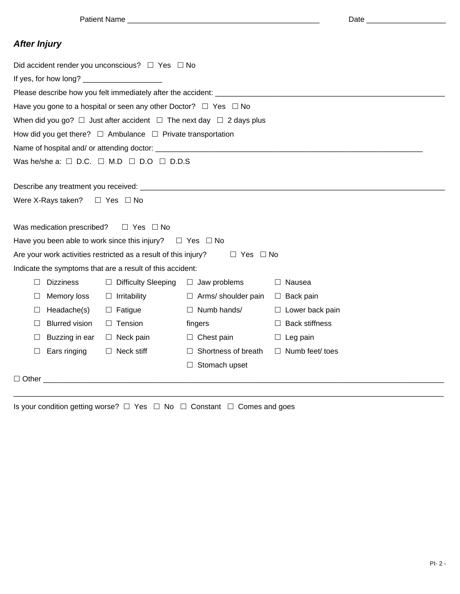Patient Name \_\_\_\_\_\_\_\_\_\_\_\_\_\_\_\_\_\_\_\_\_\_\_\_\_\_\_\_\_\_\_\_\_\_\_\_\_\_\_\_\_\_\_\_\_\_ Date \_\_\_\_\_\_\_\_\_\_\_\_\_\_\_\_\_\_\_

| ۰.<br>.<br>×<br>× | ۰. |
|-------------------|----|
|-------------------|----|

## *After Injury*

| Did accident render you unconscious? $\Box$ Yes $\Box$ No                |                                               |                                                                            |                                                                                    |                        |
|--------------------------------------------------------------------------|-----------------------------------------------|----------------------------------------------------------------------------|------------------------------------------------------------------------------------|------------------------|
|                                                                          |                                               |                                                                            |                                                                                    |                        |
|                                                                          |                                               |                                                                            |                                                                                    |                        |
|                                                                          |                                               | Have you gone to a hospital or seen any other Doctor? $\Box$ Yes $\Box$ No |                                                                                    |                        |
|                                                                          |                                               |                                                                            | When did you go? $\Box$ Just after accident $\Box$ The next day $\Box$ 2 days plus |                        |
| How did you get there? $\Box$ Ambulance $\Box$ Private transportation    |                                               |                                                                            |                                                                                    |                        |
|                                                                          |                                               |                                                                            |                                                                                    |                        |
| Was he/she a: $\square$ D.C. $\square$ M.D $\square$ D.O $\square$ D.D.S |                                               |                                                                            |                                                                                    |                        |
|                                                                          |                                               |                                                                            |                                                                                    |                        |
|                                                                          |                                               |                                                                            |                                                                                    |                        |
|                                                                          | Were X-Rays taken? $\square$ Yes $\square$ No |                                                                            |                                                                                    |                        |
|                                                                          |                                               |                                                                            |                                                                                    |                        |
|                                                                          | Was medication prescribed?                    | $\Box$ Yes $\Box$ No                                                       |                                                                                    |                        |
| Have you been able to work since this injury? $\square$ Yes $\square$ No |                                               |                                                                            |                                                                                    |                        |
|                                                                          |                                               | Are your work activities restricted as a result of this injury?            | $\Box$ Yes $\Box$ No                                                               |                        |
|                                                                          |                                               | Indicate the symptoms that are a result of this accident:                  |                                                                                    |                        |
| $\Box$                                                                   | <b>Dizziness</b>                              | $\Box$ Difficulty Sleeping                                                 | $\Box$ Jaw problems                                                                | $\Box$ Nausea          |
| $\Box$                                                                   | Memory loss                                   | $\Box$ Irritability                                                        | $\Box$ Arms/ shoulder pain                                                         | $\Box$ Back pain       |
| $\Box$                                                                   | Headache(s)                                   | $\Box$ Fatigue                                                             | $\Box$ Numb hands/                                                                 | $\Box$ Lower back pain |
| $\Box$                                                                   | <b>Blurred vision</b>                         | $\Box$ Tension                                                             | fingers                                                                            | $\Box$ Back stiffness  |
| $\Box$                                                                   | Buzzing in ear                                | $\Box$ Neck pain                                                           | $\Box$ Chest pain                                                                  | $\Box$ Leg pain        |
| $\Box$                                                                   | Ears ringing                                  | $\Box$ Neck stiff                                                          | $\Box$ Shortness of breath                                                         | $\Box$ Numb feet/ toes |
|                                                                          |                                               |                                                                            | $\Box$ Stomach upset                                                               |                        |
| $\Box$ Other $\Box$                                                      |                                               |                                                                            |                                                                                    |                        |
|                                                                          |                                               |                                                                            |                                                                                    |                        |

Is your condition getting worse?  $\Box$  Yes  $\Box$  No  $\Box$  Constant  $\Box$  Comes and goes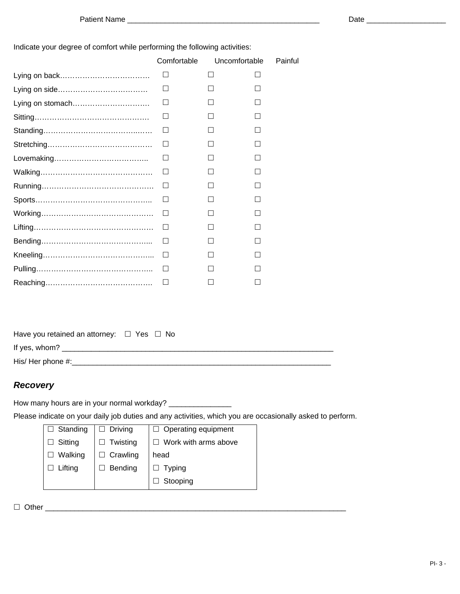Indicate your degree of comfort while performing the following activities:

|                  | Comfortable | Uncomfortable | Painful      |
|------------------|-------------|---------------|--------------|
|                  | Ш           | H             | ΙI           |
|                  | $\Box$      |               |              |
| Lying on stomach | $\perp$     |               |              |
|                  | Ш           |               |              |
|                  | П           | $\Box$        | П            |
|                  | Ш           |               |              |
|                  | $\Box$      |               | $\mathsf{L}$ |
|                  | ⊔           |               |              |
|                  | П           | П             |              |
|                  | Ш           |               |              |
|                  | $\Box$      |               |              |
|                  | $\Box$      | $\mathsf{L}$  | П            |
|                  | □           | П             | $\Box$       |
|                  | □           | П             | $\mathsf{L}$ |
|                  | $\Box$      |               |              |
|                  | IJ          | $\Box$        |              |

Have you retained an attorney:  $\Box$  Yes  $\Box$  No

If yes, whom? \_\_\_\_\_\_\_\_\_\_\_\_\_\_\_\_\_\_\_\_\_\_\_\_\_\_\_\_\_\_\_\_\_\_\_\_\_\_\_\_\_\_\_\_\_\_\_\_\_\_\_\_\_\_\_\_\_\_\_\_\_\_\_\_\_

His/ Her phone #:\_\_\_\_\_\_\_\_\_\_\_\_\_\_\_\_\_\_\_\_\_\_\_\_\_\_\_\_\_\_\_\_\_\_\_\_\_\_\_\_\_\_\_\_\_\_\_\_\_\_\_\_\_\_\_\_\_\_\_\_\_\_

## *Recovery*

How many hours are in your normal workday? \_\_\_\_\_\_\_\_\_\_\_\_\_\_\_\_

Please indicate on your daily job duties and any activities, which you are occasionally asked to perform.

| $\Box$ Standing | <b>Driving</b>  | $\Box$ Operating equipment |  |
|-----------------|-----------------|----------------------------|--|
| Sitting         | Twisting        | Work with arms above       |  |
| Walking         | $\Box$ Crawling | head                       |  |
| Lifting         | Bending         | <b>Typing</b>              |  |
|                 |                 | Stooping                   |  |
|                 |                 |                            |  |

 $\Box \text{ Other } \_\_\_\_\_\_\_ \_ \_ \_ \_ \_ \_ \_ \_ \_$